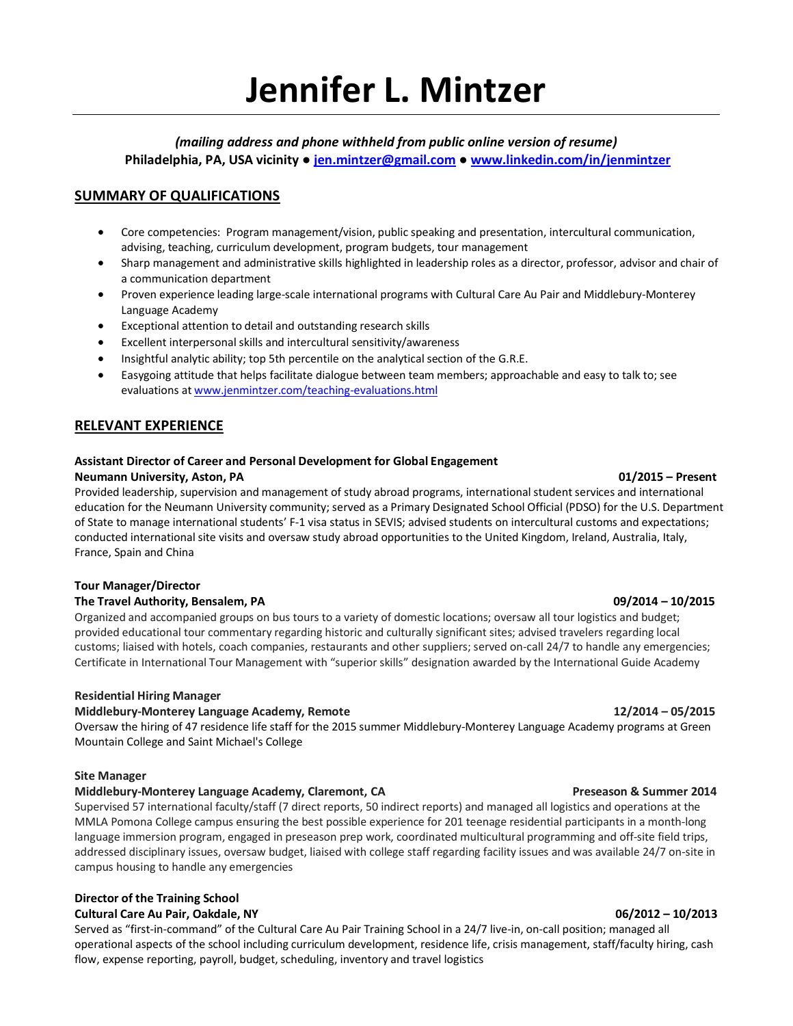# **Jennifer L. Mintzer**

*(mailing address and phone withheld from public online version of resume)* **Philadelphia, PA, USA vicinity ● jen.mintzer@gmail.com ● www.linkedin.com/in/jenmintzer**

# **SUMMARY OF QUALIFICATIONS**

- Core competencies: Program management/vision, public speaking and presentation, intercultural communication, advising, teaching, curriculum development, program budgets, tour management
- Sharp management and administrative skills highlighted in leadership roles as a director, professor, advisor and chair of a communication department
- Proven experience leading large-scale international programs with Cultural Care Au Pair and Middlebury-Monterey Language Academy
- Exceptional attention to detail and outstanding research skills
- Excellent interpersonal skills and intercultural sensitivity/awareness
- Insightful analytic ability; top 5th percentile on the analytical section of the G.R.E.
- Easygoing attitude that helps facilitate dialogue between team members; approachable and easy to talk to; see evaluations at www.jenmintzer.com/teaching-evaluations.html

### **RELEVANT EXPERIENCE**

### **Assistant Director of Career and Personal Development for Global Engagement**

### **Neumann University, Aston, PA 01/2015 – Present**

Provided leadership, supervision and management of study abroad programs, international student services and international education for the Neumann University community; served as a Primary Designated School Official (PDSO) for the U.S. Department of State to manage international students' F-1 visa status in SEVIS; advised students on intercultural customs and expectations; conducted international site visits and oversaw study abroad opportunities to the United Kingdom, Ireland, Australia, Italy, France, Spain and China

### **Tour Manager/Director**

### **The Travel Authority, Bensalem, PA 09/2014 – 10/2015**

Organized and accompanied groups on bus tours to a variety of domestic locations; oversaw all tour logistics and budget; provided educational tour commentary regarding historic and culturally significant sites; advised travelers regarding local customs; liaised with hotels, coach companies, restaurants and other suppliers; served on-call 24/7 to handle any emergencies; Certificate in International Tour Management with "superior skills" designation awarded by the International Guide Academy

### **Residential Hiring Manager**

### **Middlebury-Monterey Language Academy, Remote 12/2014 – 05/2015**

Oversaw the hiring of 47 residence life staff for the 2015 summer Middlebury-Monterey Language Academy programs at Green Mountain College and Saint Michael's College

### **Site Manager**

### **Middlebury-Monterey Language Academy, Claremont, CA CALL CONSERVITY RESEASON & Summer 2014**

Supervised 57 international faculty/staff (7 direct reports, 50 indirect reports) and managed all logistics and operations at the MMLA Pomona College campus ensuring the best possible experience for 201 teenage residential participants in a month-long language immersion program, engaged in preseason prep work, coordinated multicultural programming and off-site field trips, addressed disciplinary issues, oversaw budget, liaised with college staff regarding facility issues and was available 24/7 on-site in campus housing to handle any emergencies

### **Director of the Training School**

### **Cultural Care Au Pair, Oakdale, NY 06/2012 – 10/2013**

Served as "first-in-command" of the Cultural Care Au Pair Training School in a 24/7 live-in, on-call position; managed all operational aspects of the school including curriculum development, residence life, crisis management, staff/faculty hiring, cash flow, expense reporting, payroll, budget, scheduling, inventory and travel logistics